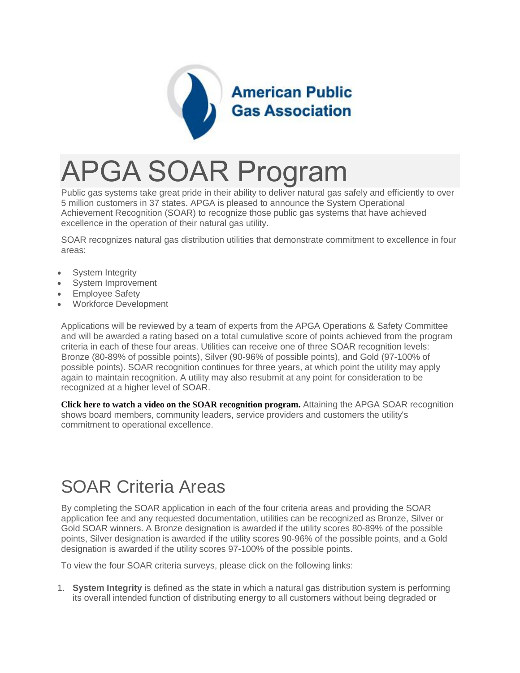

# APGA SOAR Program

Public gas systems take great pride in their ability to deliver natural gas safely and efficiently to over 5 million customers in 37 states. APGA is pleased to announce the System Operational Achievement Recognition (SOAR) to recognize those public gas systems that have achieved excellence in the operation of their natural gas utility.

SOAR recognizes natural gas distribution utilities that demonstrate commitment to excellence in four areas:

- System Integrity
- System Improvement
- Employee Safety
- Workforce Development

Applications will be reviewed by a team of experts from the APGA Operations & Safety Committee and will be awarded a rating based on a total cumulative score of points achieved from the program criteria in each of these four areas. Utilities can receive one of three SOAR recognition levels: Bronze (80-89% of possible points), Silver (90-96% of possible points), and Gold (97-100% of possible points). SOAR recognition continues for three years, at which point the utility may apply again to maintain recognition. A utility may also resubmit at any point for consideration to be recognized at a higher level of SOAR.

**[Click here to watch a video on the SOAR recognition program.](https://vimeo.com/87219275)** Attaining the APGA SOAR recognition shows board members, community leaders, service providers and customers the utility's commitment to operational excellence.

### SOAR Criteria Areas

By completing the SOAR application in each of the four criteria areas and providing the SOAR application fee and any requested documentation, utilities can be recognized as Bronze, Silver or Gold SOAR winners. A Bronze designation is awarded if the utility scores 80-89% of the possible points, Silver designation is awarded if the utility scores 90-96% of the possible points, and a Gold designation is awarded if the utility scores 97-100% of the possible points.

To view the four SOAR criteria surveys, please click on the following links:

1. **System Integrity** is defined as the state in which a natural gas distribution system is performing its overall intended function of distributing energy to all customers without being degraded or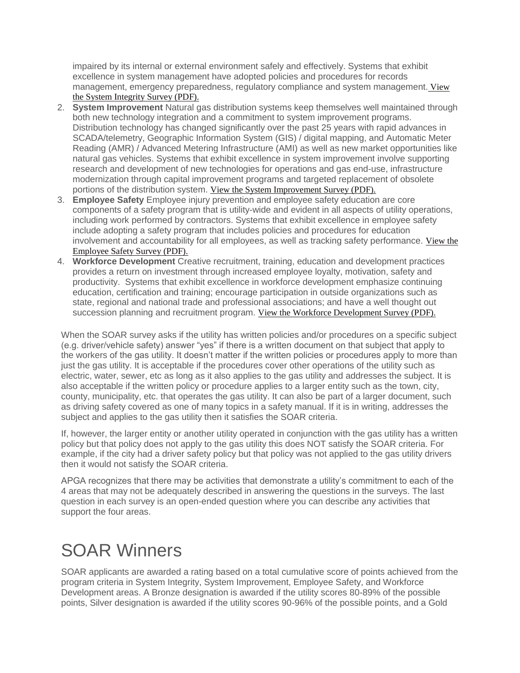impaired by its internal or external environment safely and effectively. Systems that exhibit excellence in system management have adopted policies and procedures for records management, emergency preparedness, regulatory compliance and system management. [View](https://higherlogicdownload.s3.amazonaws.com/APGA/1151c1f6-49e1-4598-badd-127e33da42cd/UploadedImages/SOAR/2014%20SOAR%20System%20Integrity%20Survey_44111717.pdf)  [the System Integrity Survey \(PDF\).](https://higherlogicdownload.s3.amazonaws.com/APGA/1151c1f6-49e1-4598-badd-127e33da42cd/UploadedImages/SOAR/2014%20SOAR%20System%20Integrity%20Survey_44111717.pdf)

- 2. **System Improvement** Natural gas distribution systems keep themselves well maintained through both new technology integration and a commitment to system improvement programs. Distribution technology has changed significantly over the past 25 years with rapid advances in SCADA/telemetry, Geographic Information System (GIS) / digital mapping, and Automatic Meter Reading (AMR) / Advanced Metering Infrastructure (AMI) as well as new market opportunities like natural gas vehicles. Systems that exhibit excellence in system improvement involve supporting research and development of new technologies for operations and gas end-use, infrastructure modernization through capital improvement programs and targeted replacement of obsolete portions of the distribution system. [View the System Improvement Survey \(PDF\).](https://higherlogicdownload.s3.amazonaws.com/APGA/1151c1f6-49e1-4598-badd-127e33da42cd/UploadedImages/SOAR/2014%20SOAR%20System%20Improvement%20Survey_44110443.pdf)
- 3. **Employee Safety** Employee injury prevention and employee safety education are core components of a safety program that is utility-wide and evident in all aspects of utility operations, including work performed by contractors. Systems that exhibit excellence in employee safety include adopting a safety program that includes policies and procedures for education involvement and accountability for all employees, as well as tracking safety performance. [View the](https://higherlogicdownload.s3.amazonaws.com/APGA/1151c1f6-49e1-4598-badd-127e33da42cd/UploadedImages/SOAR/2014%20SOAR%20Worker%20Safety%20Survey_44112618.pdf)  [Employee Safety Survey \(PDF\).](https://higherlogicdownload.s3.amazonaws.com/APGA/1151c1f6-49e1-4598-badd-127e33da42cd/UploadedImages/SOAR/2014%20SOAR%20Worker%20Safety%20Survey_44112618.pdf)
- 4. **Workforce Development** Creative recruitment, training, education and development practices provides a return on investment through increased employee loyalty, motivation, safety and productivity. Systems that exhibit excellence in workforce development emphasize continuing education, certification and training; encourage participation in outside organizations such as state, regional and national trade and professional associations; and have a well thought out succession planning and recruitment program. [View the Workforce Development Survey \(PDF\).](https://higherlogicdownload.s3.amazonaws.com/APGA/1151c1f6-49e1-4598-badd-127e33da42cd/UploadedImages/SOAR/2014%20SOAR%20Workforce%20Dvelopment%20Survey_44113241.pdf)

When the SOAR survey asks if the utility has written policies and/or procedures on a specific subject (e.g. driver/vehicle safety) answer "yes" if there is a written document on that subject that apply to the workers of the gas utility. It doesn't matter if the written policies or procedures apply to more than just the gas utility. It is acceptable if the procedures cover other operations of the utility such as electric, water, sewer, etc as long as it also applies to the gas utility and addresses the subject. It is also acceptable if the written policy or procedure applies to a larger entity such as the town, city, county, municipality, etc. that operates the gas utility. It can also be part of a larger document, such as driving safety covered as one of many topics in a safety manual. If it is in writing, addresses the subject and applies to the gas utility then it satisfies the SOAR criteria.

If, however, the larger entity or another utility operated in conjunction with the gas utility has a written policy but that policy does not apply to the gas utility this does NOT satisfy the SOAR criteria. For example, if the city had a driver safety policy but that policy was not applied to the gas utility drivers then it would not satisfy the SOAR criteria.

APGA recognizes that there may be activities that demonstrate a utility's commitment to each of the 4 areas that may not be adequately described in answering the questions in the surveys. The last question in each survey is an open-ended question where you can describe any activities that support the four areas.

## SOAR Winners

SOAR applicants are awarded a rating based on a total cumulative score of points achieved from the program criteria in System Integrity, System Improvement, Employee Safety, and Workforce Development areas. A Bronze designation is awarded if the utility scores 80-89% of the possible points, Silver designation is awarded if the utility scores 90-96% of the possible points, and a Gold